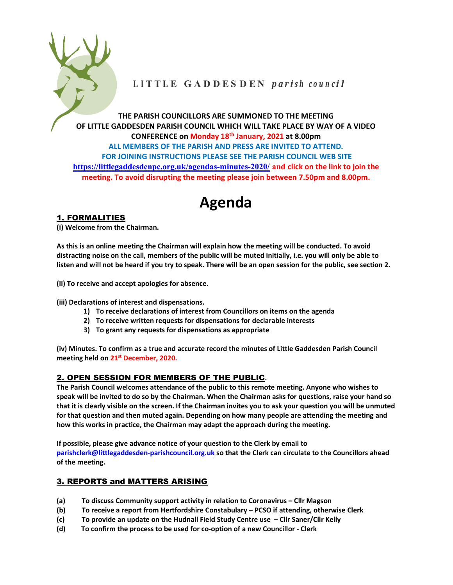

# LITTLE GADDESDEN parish council

THE PARISH COUNCILLORS ARE SUMMONED TO THE MEETING OF LITTLE GADDESDEN PARISH COUNCIL WHICH WILL TAKE PLACE BY WAY OF A VIDEO CONFERENCE on Monday 18th January, 2021 at 8.00pm ALL MEMBERS OF THE PARISH AND PRESS ARE INVITED TO ATTEND. FOR JOINING INSTRUCTIONS PLEASE SEE THE PARISH COUNCIL WEB SITE https://littlegaddesdenpc.org.uk/agendas-minutes-2020/ and click on the link to join the meeting. To avoid disrupting the meeting please join between 7.50pm and 8.00pm.

# Agenda

# 1. FORMALITIES

(i) Welcome from the Chairman.

As this is an online meeting the Chairman will explain how the meeting will be conducted. To avoid distracting noise on the call, members of the public will be muted initially, i.e. you will only be able to listen and will not be heard if you try to speak. There will be an open session for the public, see section 2.

(ii) To receive and accept apologies for absence.

(iii) Declarations of interest and dispensations.

- 1) To receive declarations of interest from Councillors on items on the agenda
- 2) To receive written requests for dispensations for declarable interests
- 3) To grant any requests for dispensations as appropriate

(iv) Minutes. To confirm as a true and accurate record the minutes of Little Gaddesden Parish Council meeting held on 21<sup>st</sup> December, 2020.

## 2. OPEN SESSION FOR MEMBERS OF THE PUBLIC.

The Parish Council welcomes attendance of the public to this remote meeting. Anyone who wishes to speak will be invited to do so by the Chairman. When the Chairman asks for questions, raise your hand so that it is clearly visible on the screen. If the Chairman invites you to ask your question you will be unmuted for that question and then muted again. Depending on how many people are attending the meeting and how this works in practice, the Chairman may adapt the approach during the meeting.

If possible, please give advance notice of your question to the Clerk by email to parishclerk@littlegaddesden-parishcouncil.org.uk so that the Clerk can circulate to the Councillors ahead of the meeting.

## 3. REPORTS and MATTERS ARISING

- (a) To discuss Community support activity in relation to Coronavirus Cllr Magson
- (b) To receive a report from Hertfordshire Constabulary PCSO if attending, otherwise Clerk
- (c) To provide an update on the Hudnall Field Study Centre use Cllr Saner/Cllr Kelly
- (d) To confirm the process to be used for co-option of a new Councillor Clerk